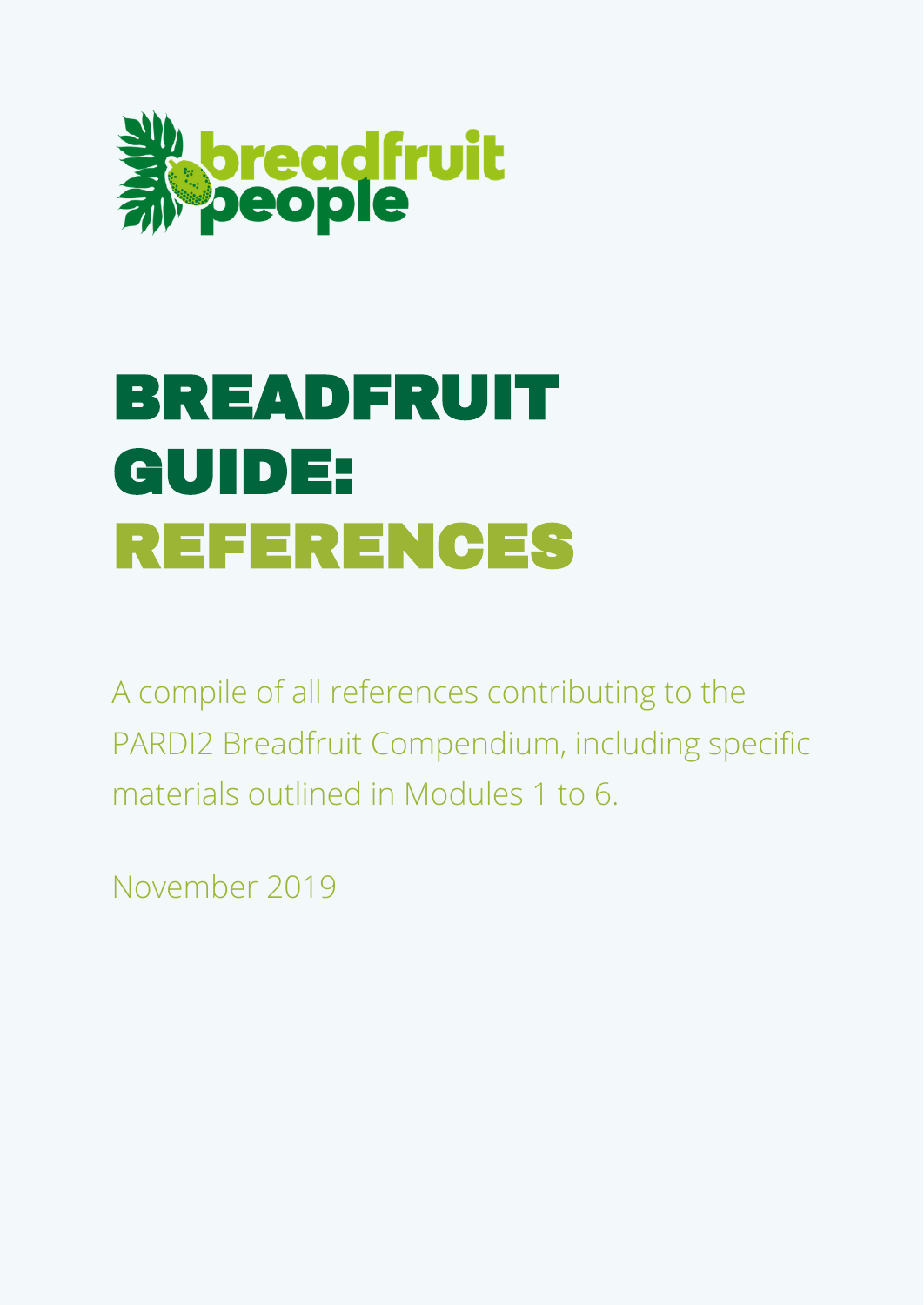

# BREADFRUIT GUIDE: REFERENCES

A compile of all references contributing to the PARDI2 Breadfruit Compendium, including specific materials outlined in Modules 1 to 6.

November 2019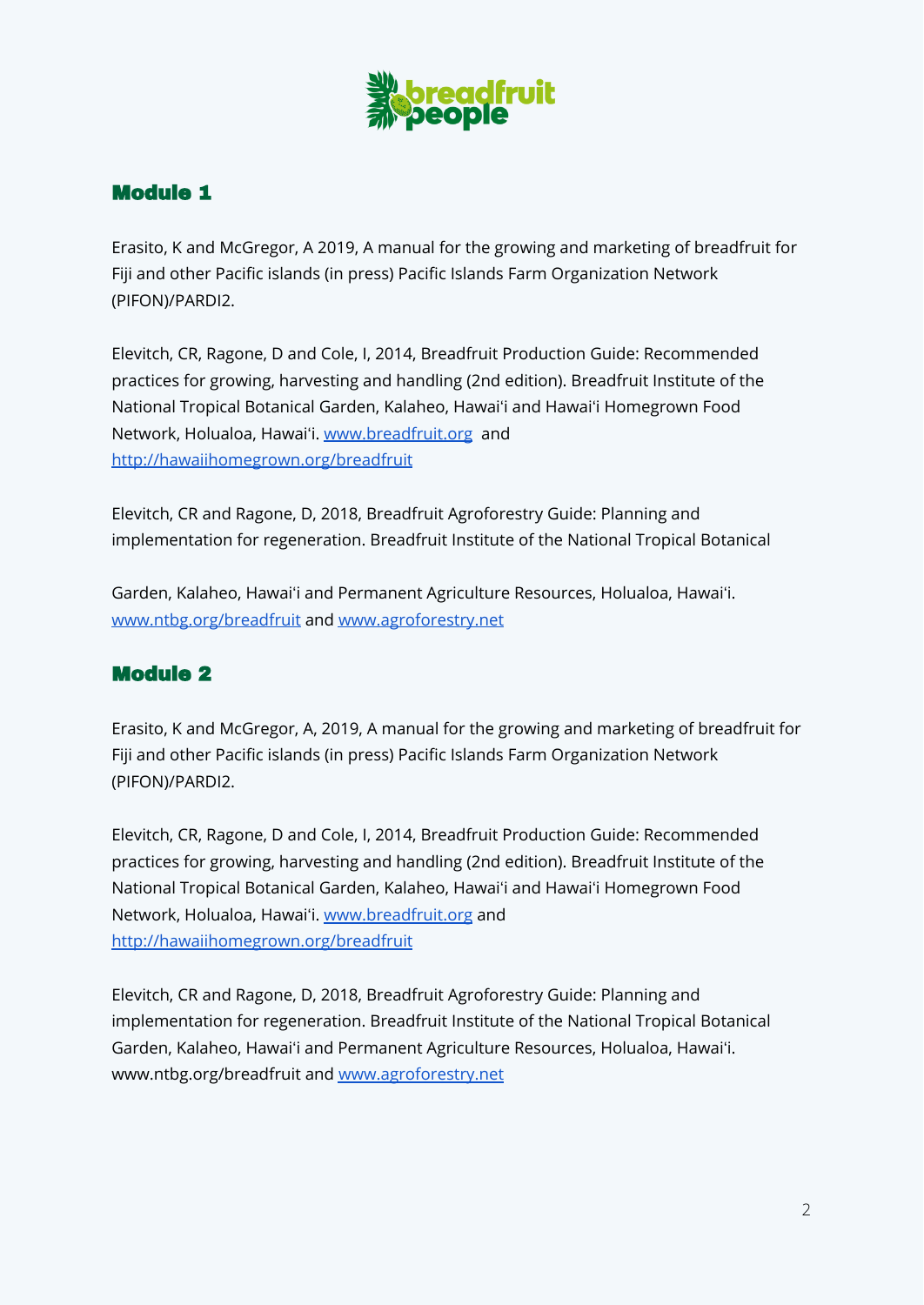

## Module 1

Erasito, K and McGregor, A 2019, A manual for the growing and marketing of breadfruit for Fiji and other Pacific islands (in press) Pacific Islands Farm Organization Network (PIFON)/PARDI2.

Elevitch, CR, Ragone, D and Cole, I, 2014, Breadfruit Production Guide: Recommended practices for growing, harvesting and handling (2nd edition). Breadfruit Institute of the National Tropical Botanical Garden, Kalaheo, Hawaiʻi and Hawaiʻi Homegrown Food Network, Holualoa, Hawaiʻi. [www.breadfruit.org](http://www.breadfruit.org) and <http://hawaiihomegrown.org/breadfruit>

Elevitch, CR and Ragone, D, 2018, Breadfruit Agroforestry Guide: Planning and implementation for regeneration. Breadfruit Institute of the National Tropical Botanical

Garden, Kalaheo, Hawaiʻi and Permanent Agriculture Resources, Holualoa, Hawaiʻi. [www.ntbg.org/breadfruit](http://www.ntbg.org/breadfruit) and [www.agroforestry.net](http://www.agroforestry.net)

#### Module 2

Erasito, K and McGregor, A, 2019, A manual for the growing and marketing of breadfruit for Fiji and other Pacific islands (in press) Pacific Islands Farm Organization Network (PIFON)/PARDI2.

Elevitch, CR, Ragone, D and Cole, I, 2014, Breadfruit Production Guide: Recommended practices for growing, harvesting and handling (2nd edition). Breadfruit Institute of the National Tropical Botanical Garden, Kalaheo, Hawaiʻi and Hawaiʻi Homegrown Food Network, Holualoa, Hawaiʻi. [www.breadfruit.org](http://www.breadfruit.org) and <http://hawaiihomegrown.org/breadfruit>

Elevitch, CR and Ragone, D, 2018, Breadfruit Agroforestry Guide: Planning and implementation for regeneration. Breadfruit Institute of the National Tropical Botanical Garden, Kalaheo, Hawaiʻi and Permanent Agriculture Resources, Holualoa, Hawaiʻi. www.ntbg.org/breadfruit and [www.agroforestry.net](http://www.agroforestry.net)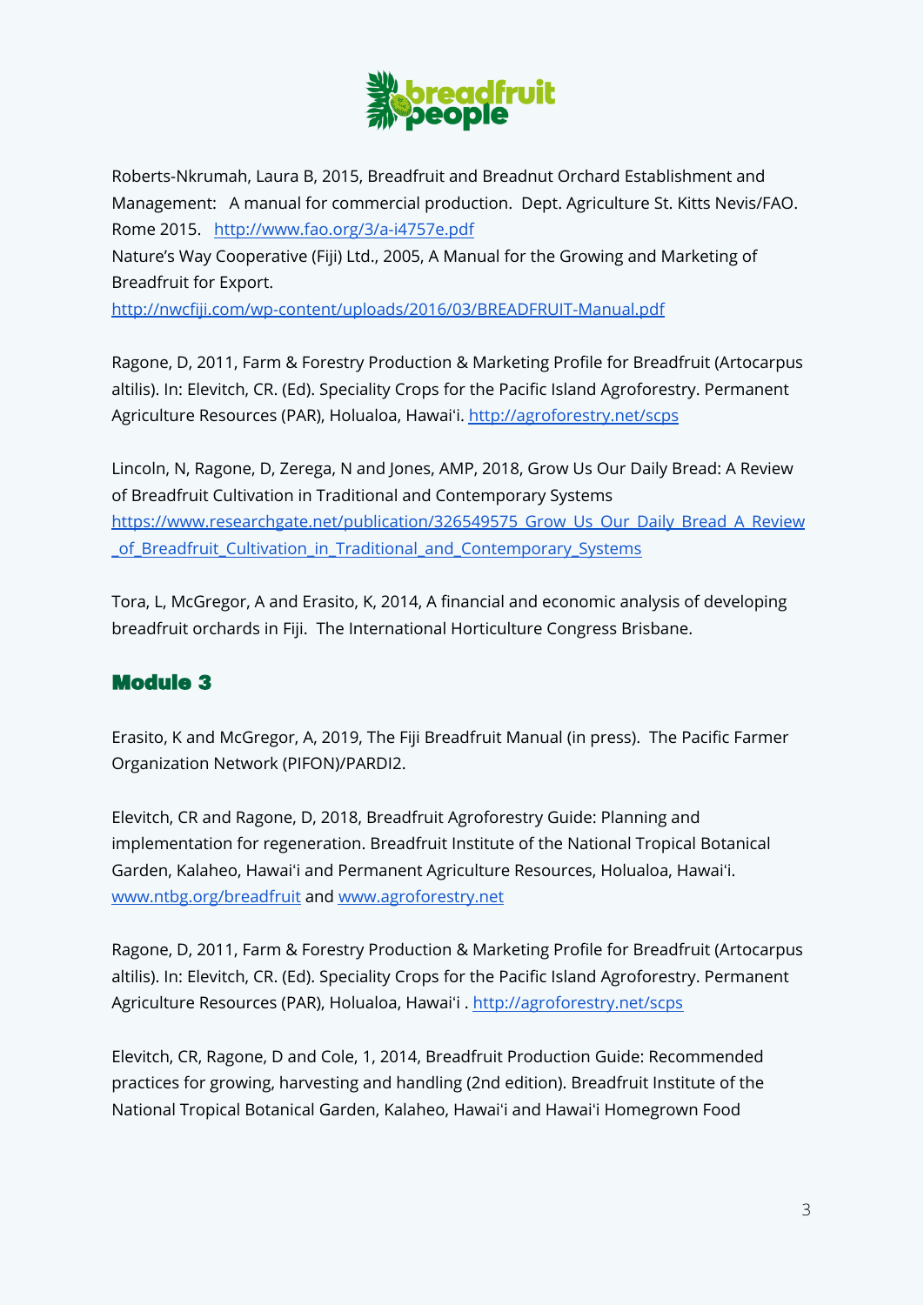

Roberts-Nkrumah, Laura B, 2015, Breadfruit and Breadnut Orchard Establishment and Management: A manual for commercial production. Dept. Agriculture St. Kitts Nevis/FAO. Rome 2015. <http://www.fao.org/3/a-i4757e.pdf>

Nature's Way Cooperative (Fiji) Ltd., 2005, A Manual for the Growing and Marketing of Breadfruit for Export.

<http://nwcfiji.com/wp-content/uploads/2016/03/BREADFRUIT-Manual.pdf>

Ragone, D, 2011, Farm & Forestry Production & Marketing Profile for Breadfruit (Artocarpus altilis). In: Elevitch, CR. (Ed). Speciality Crops for the Pacific Island Agroforestry. Permanent Agriculture Resources (PAR), Holualoa, Hawaiʻi. <http://agroforestry.net/scps>

Lincoln, N, Ragone, D, Zerega, N and Jones, AMP, 2018, Grow Us Our Daily Bread: A Review of Breadfruit Cultivation in Traditional and Contemporary Systems [https://www.researchgate.net/publication/326549575\\_Grow\\_Us\\_Our\\_Daily\\_Bread\\_A\\_Review](https://www.researchgate.net/publication/326549575_Grow_Us_Our_Daily_Bread_A_Review_of_Breadfruit_Cultivation_in_Traditional_and_Contemporary_Systems) [\\_of\\_Breadfruit\\_Cultivation\\_in\\_Traditional\\_and\\_Contemporary\\_Systems](https://www.researchgate.net/publication/326549575_Grow_Us_Our_Daily_Bread_A_Review_of_Breadfruit_Cultivation_in_Traditional_and_Contemporary_Systems)

Tora, L, McGregor, A and Erasito, K, 2014, A financial and economic analysis of developing breadfruit orchards in Fiji. The International Horticulture Congress Brisbane.

## Module 3

Erasito, K and McGregor, A, 2019, The Fiji Breadfruit Manual (in press). The Pacific Farmer Organization Network (PIFON)/PARDI2.

Elevitch, CR and Ragone, D, 2018, Breadfruit Agroforestry Guide: Planning and implementation for regeneration. Breadfruit Institute of the National Tropical Botanical Garden, Kalaheo, Hawaiʻi and Permanent Agriculture Resources, Holualoa, Hawaiʻi. [www.ntbg.org/breadfruit](http://www.ntbg.org/breadfruit) and [www.agroforestry.net](http://www.agroforestry.net)

Ragone, D, 2011, Farm & Forestry Production & Marketing Profile for Breadfruit (Artocarpus altilis). In: Elevitch, CR. (Ed). Speciality Crops for the Pacific Island Agroforestry. Permanent Agriculture Resources (PAR), Holualoa, Hawaiʻi . <http://agroforestry.net/scps>

Elevitch, CR, Ragone, D and Cole, 1, 2014, Breadfruit Production Guide: Recommended practices for growing, harvesting and handling (2nd edition). Breadfruit Institute of the National Tropical Botanical Garden, Kalaheo, Hawaiʻi and Hawaiʻi Homegrown Food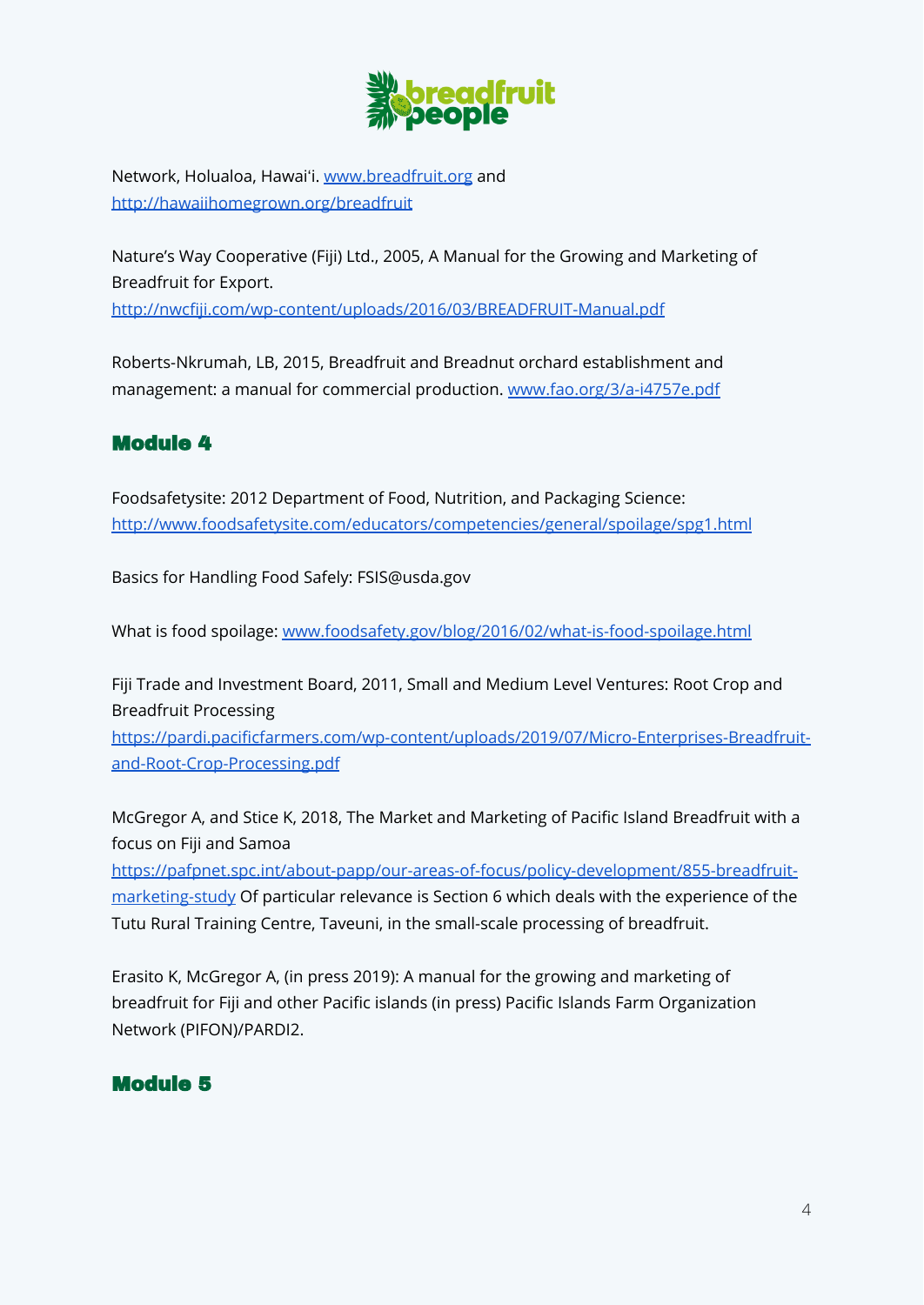

Network, Holualoa, Hawaiʻi. [www.breadfruit.org](http://www.breadfruit.org) and <http://hawaiihomegrown.org/breadfruit>

Nature's Way Cooperative (Fiji) Ltd., 2005, A Manual for the Growing and Marketing of Breadfruit for Export.

<http://nwcfiji.com/wp-content/uploads/2016/03/BREADFRUIT-Manual.pdf>

Roberts-Nkrumah, LB, 2015, Breadfruit and Breadnut orchard establishment and management: a manual for commercial production. [www.fao.org/3/a-i4757e.pdf](http://www.fao.org/3/a-i4757e.pdf)

## Module 4

Foodsafetysite: 2012 Department of Food, Nutrition, and Packaging Science: <http://www.foodsafetysite.com/educators/competencies/general/spoilage/spg1.html>

Basics for Handling Food Safely: FSIS@usda.gov

What is food spoilage: [www.foodsafety.gov/blog/2016/02/what-is-food-spoilage.html](http://www.foodsafety.gov/blog/2016/02/what-is-food-spoilage.html)

Fiji Trade and Investment Board, 2011, Small and Medium Level Ventures: Root Crop and Breadfruit Processing

[https://pardi.pacificfarmers.com/wp-content/uploads/2019/07/Micro-Enterprises-Breadfruit](https://pardi.pacificfarmers.com/wp-content/uploads/2019/07/Micro-Enterprises-Breadfruit-and-Root-Crop-Processing.pdf)[and-Root-Crop-Processing.pdf](https://pardi.pacificfarmers.com/wp-content/uploads/2019/07/Micro-Enterprises-Breadfruit-and-Root-Crop-Processing.pdf)

McGregor A, and Stice K, 2018, The Market and Marketing of Pacific Island Breadfruit with a focus on Fiji and Samoa

[https://pafpnet.spc.int/about-papp/our-areas-of-focus/policy-development/855-breadfruit](https://pafpnet.spc.int/about-papp/our-areas-of-focus/policy-development/855-breadfruit-marketing-study)[marketing-study](https://pafpnet.spc.int/about-papp/our-areas-of-focus/policy-development/855-breadfruit-marketing-study) Of particular relevance is Section 6 which deals with the experience of the Tutu Rural Training Centre, Taveuni, in the small-scale processing of breadfruit.

Erasito K, McGregor A, (in press 2019): A manual for the growing and marketing of breadfruit for Fiji and other Pacific islands (in press) Pacific Islands Farm Organization Network (PIFON)/PARDI2.

## Module 5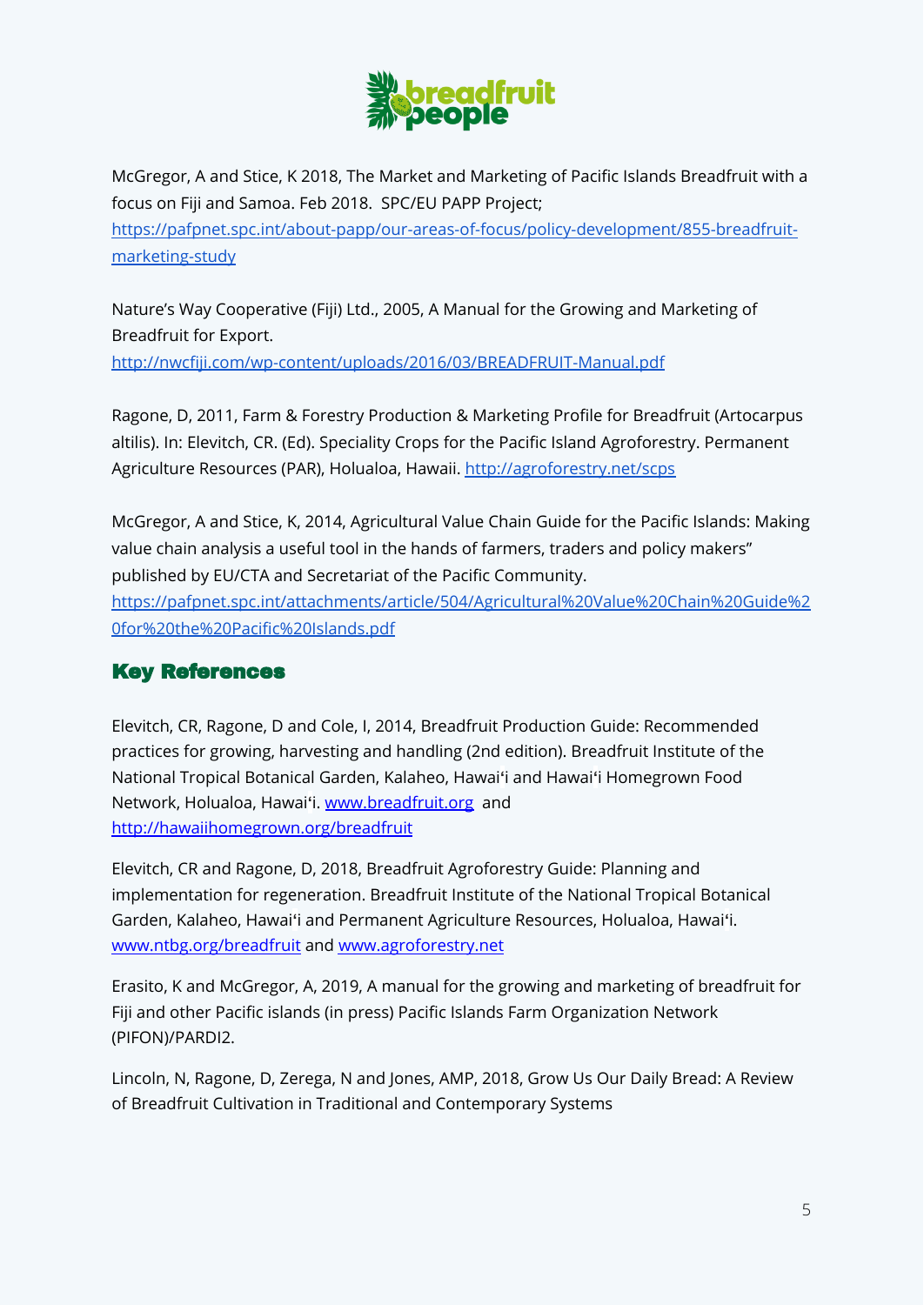

McGregor, A and Stice, K 2018, The Market and Marketing of Pacific Islands Breadfruit with a focus on Fiji and Samoa. Feb 2018. SPC/EU PAPP Project; [https://pafpnet.spc.int/about-papp/our-areas-of-focus/policy-development/855-breadfruit](https://pafpnet.spc.int/about-papp/our-areas-of-focus/policy-development/855-breadfruit-marketing-study)[marketing-study](https://pafpnet.spc.int/about-papp/our-areas-of-focus/policy-development/855-breadfruit-marketing-study)

Nature's Way Cooperative (Fiji) Ltd., 2005, A Manual for the Growing and Marketing of Breadfruit for Export.

<http://nwcfiji.com/wp-content/uploads/2016/03/BREADFRUIT-Manual.pdf>

Ragone, D, 2011, Farm & Forestry Production & Marketing Profile for Breadfruit (Artocarpus altilis). In: Elevitch, CR. (Ed). Speciality Crops for the Pacific Island Agroforestry. Permanent Agriculture Resources (PAR), Holualoa, Hawaii. <http://agroforestry.net/scps>

McGregor, A and Stice, K, 2014, Agricultural Value Chain Guide for the Pacific Islands: Making value chain analysis a useful tool in the hands of farmers, traders and policy makers" published by EU/CTA and Secretariat of the Pacific Community. [https://pafpnet.spc.int/attachments/article/504/Agricultural%20Value%20Chain%20Guide%2](https://pafpnet.spc.int/attachments/article/504/Agricultural%20Value%20Chain%20Guide%20for%20the%20Pacific%20Islands.pdf) [0for%20the%20Pacific%20Islands.pdf](https://pafpnet.spc.int/attachments/article/504/Agricultural%20Value%20Chain%20Guide%20for%20the%20Pacific%20Islands.pdf)

## Key References

Elevitch, CR, Ragone, D and Cole, I, 2014, Breadfruit Production Guide: Recommended practices for growing, harvesting and handling (2nd edition). Breadfruit Institute of the National Tropical Botanical Garden, Kalaheo, Hawai**ʻ**i and Hawai**ʻ**i Homegrown Food Network, Holualoa, Hawai**ʻ**i. [www.breadfruit.org](http://www.breadfruit.org) and <http://hawaiihomegrown.org/breadfruit>

Elevitch, CR and Ragone, D, 2018, Breadfruit Agroforestry Guide: Planning and implementation for regeneration. Breadfruit Institute of the National Tropical Botanical Garden, Kalaheo, Hawai**ʻ**i and Permanent Agriculture Resources, Holualoa, Hawai**ʻ**i. [www.ntbg.org/breadfruit](http://www.ntbg.org/breadfruit) and [www.agroforestry.net](http://www.agroforestry.net)

Erasito, K and McGregor, A, 2019, A manual for the growing and marketing of breadfruit for Fiji and other Pacific islands (in press) Pacific Islands Farm Organization Network (PIFON)/PARDI2.

Lincoln, N, Ragone, D, Zerega, N and Jones, AMP, 2018, Grow Us Our Daily Bread: A Review of Breadfruit Cultivation in Traditional and Contemporary Systems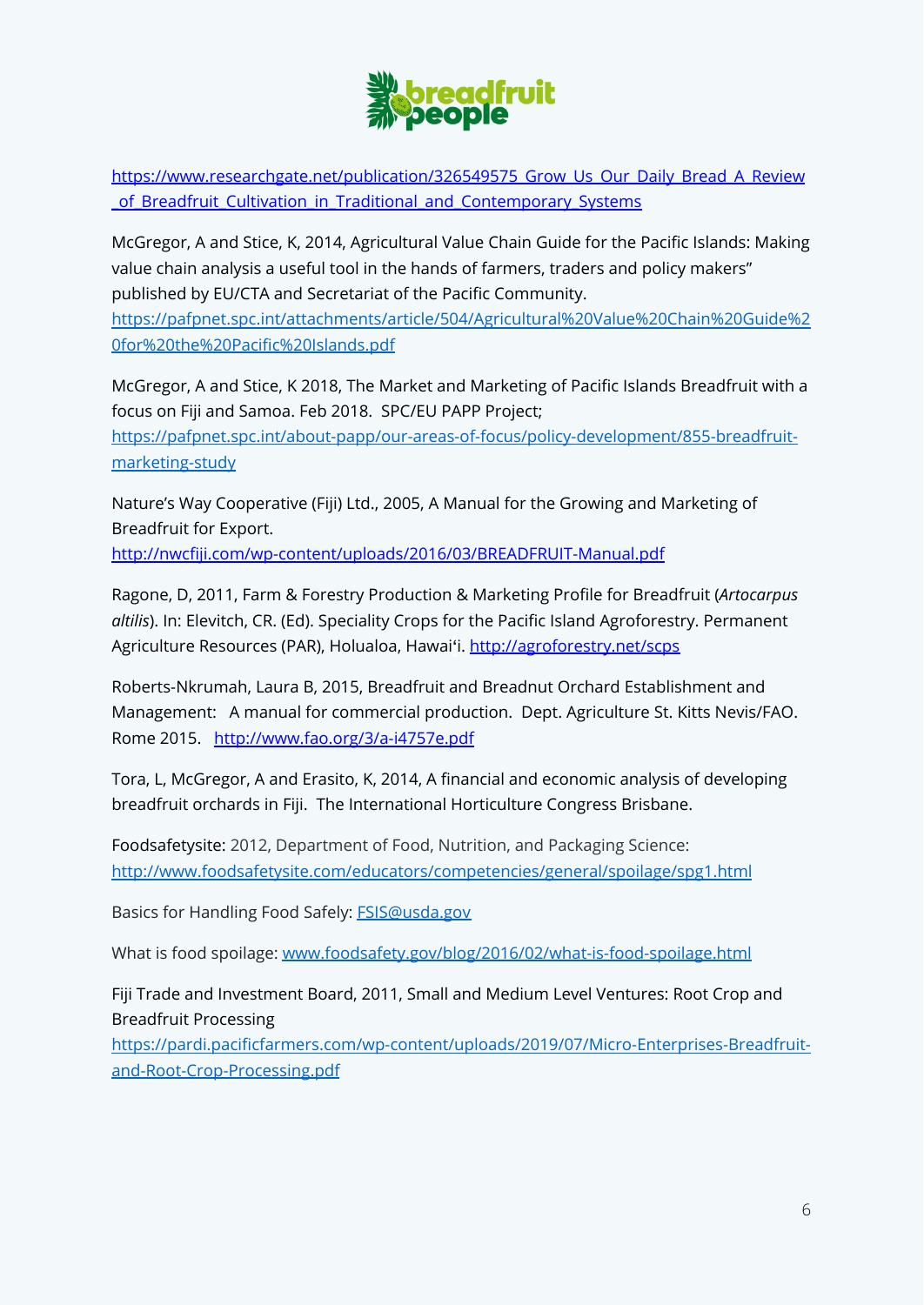

[https://www.researchgate.net/publication/326549575\\_Grow\\_Us\\_Our\\_Daily\\_Bread\\_A\\_Review](https://www.researchgate.net/publication/326549575_Grow_Us_Our_Daily_Bread_A_Review_of_Breadfruit_Cultivation_in_Traditional_and_Contemporary_Systems) \_of Breadfruit Cultivation in Traditional and Contemporary Systems

McGregor, A and Stice, K, 2014, Agricultural Value Chain Guide for the Pacific Islands: Making value chain analysis a useful tool in the hands of farmers, traders and policy makers" published by EU/CTA and Secretariat of the Pacific Community.

[https://pafpnet.spc.int/attachments/article/504/Agricultural%20Value%20Chain%20Guide%2](https://pafpnet.spc.int/attachments/article/504/Agricultural%20Value%20Chain%20Guide%20for%20the%20Pacific%20Islands.pdf) [0for%20the%20Pacific%20Islands.pdf](https://pafpnet.spc.int/attachments/article/504/Agricultural%20Value%20Chain%20Guide%20for%20the%20Pacific%20Islands.pdf)

McGregor, A and Stice, K 2018, The Market and Marketing of Pacific Islands Breadfruit with a focus on Fiji and Samoa. Feb 2018. SPC/EU PAPP Project; [https://pafpnet.spc.int/about-papp/our-areas-of-focus/policy-development/855-breadfruit](https://pafpnet.spc.int/about-papp/our-areas-of-focus/policy-development/855-breadfruit-marketing-study)[marketing-study](https://pafpnet.spc.int/about-papp/our-areas-of-focus/policy-development/855-breadfruit-marketing-study)

Nature's Way Cooperative (Fiji) Ltd., 2005, A Manual for the Growing and Marketing of Breadfruit for Export.

<http://nwcfiji.com/wp-content/uploads/2016/03/BREADFRUIT-Manual.pdf>

Ragone, D, 2011, Farm & Forestry Production & Marketing Profile for Breadfruit (*Artocarpus altilis*). In: Elevitch, CR. (Ed). Speciality Crops for the Pacific Island Agroforestry. Permanent Agriculture Resources (PAR), Holualoa, Hawai**ʻ**i. <http://agroforestry.net/scps>

Roberts-Nkrumah, Laura B, 2015, Breadfruit and Breadnut Orchard Establishment and Management: A manual for commercial production. Dept. Agriculture St. Kitts Nevis/FAO. Rome 2015. <http://www.fao.org/3/a-i4757e.pdf>

Tora, L, McGregor, A and Erasito, K, 2014, A financial and economic analysis of developing breadfruit orchards in Fiji. The International Horticulture Congress Brisbane.

Foodsafetysite: 2012, Department of Food, Nutrition, and Packaging Science: <http://www.foodsafetysite.com/educators/competencies/general/spoilage/spg1.html>

Basics for Handling Food Safely: [FSIS@usda.gov](mailto:FSIS@usda.gov)

What is food spoilage: [www.foodsafety.gov/blog/2016/02/what-is-food-spoilage.html](http://www.foodsafety.gov/blog/2016/02/what-is-food-spoilage.html)

Fiji Trade and Investment Board, 2011, Small and Medium Level Ventures: Root Crop and Breadfruit Processing

[https://pardi.pacificfarmers.com/wp-content/uploads/2019/07/Micro-Enterprises-Breadfruit](https://pardi.pacificfarmers.com/wp-content/uploads/2019/07/Micro-Enterprises-Breadfruit-and-Root-Crop-Processing.pdf)[and-Root-Crop-Processing.pdf](https://pardi.pacificfarmers.com/wp-content/uploads/2019/07/Micro-Enterprises-Breadfruit-and-Root-Crop-Processing.pdf)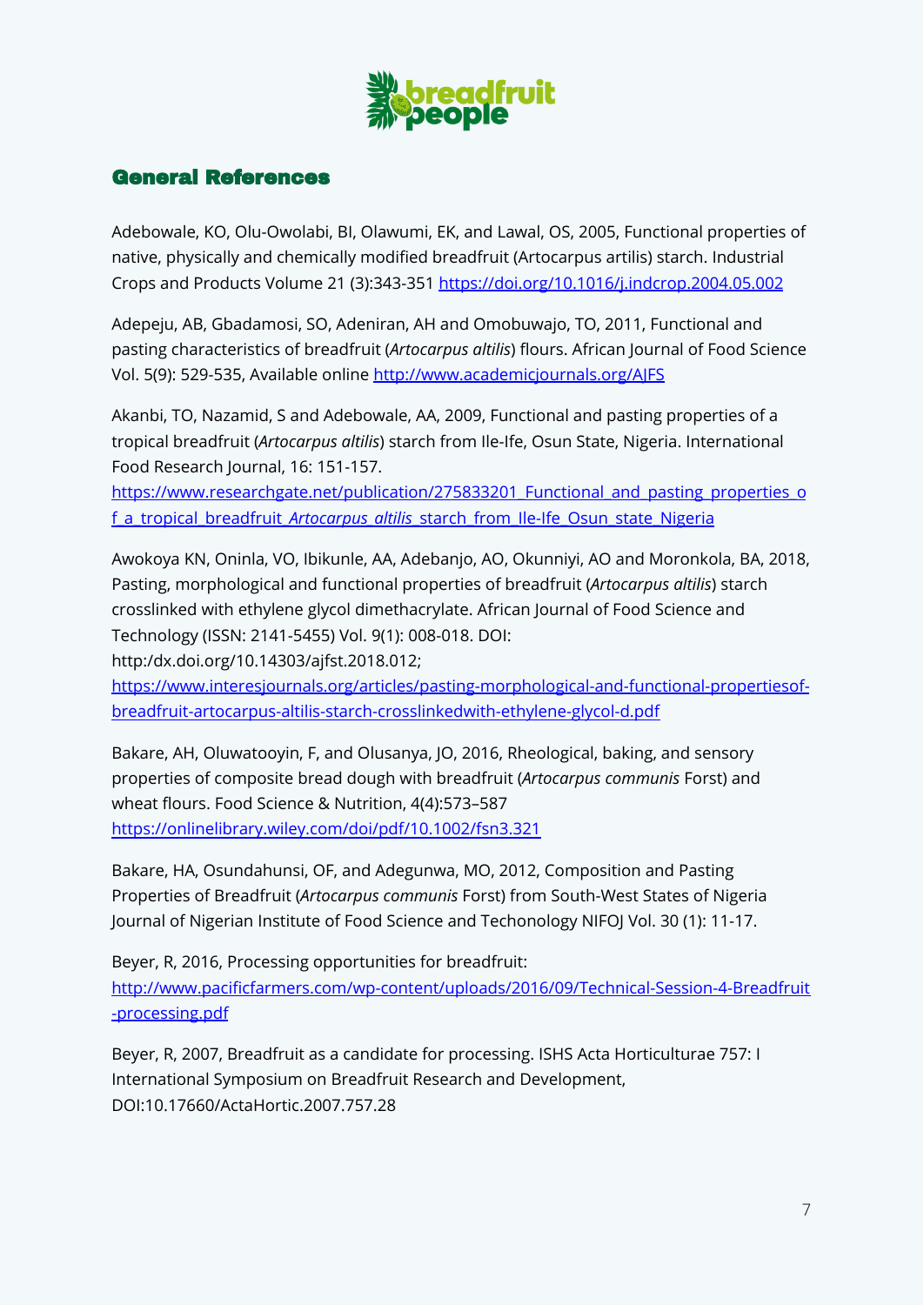

#### General References

Adebowale, KO, Olu-Owolabi, BI, Olawumi, EK, and Lawal, OS, 2005, Functional properties of native, physically and chemically modified breadfruit (Artocarpus artilis) starch. Industrial Crops and Products Volume 21 (3):343-351 <https://doi.org/10.1016/j.indcrop.2004.05.002>

Adepeju, AB, Gbadamosi, SO, Adeniran, AH and Omobuwajo, TO, 2011, Functional and pasting characteristics of breadfruit (*Artocarpus altilis*) flours. African Journal of Food Science Vol. 5(9): 529-535, Available online <http://www.academicjournals.org/AJFS>

Akanbi, TO, Nazamid, S and Adebowale, AA, 2009, Functional and pasting properties of a tropical breadfruit (*Artocarpus altilis*) starch from Ile-Ife, Osun State, Nigeria. International Food Research Journal, 16: 151-157.

https://www.researchgate.net/publication/275833201 Functional and pasting properties o f\_a\_tropical\_breadfruit\_*Artocarpus\_altilis*[\\_starch\\_from\\_Ile-Ife\\_Osun\\_state\\_Nigeria](https://www.researchgate.net/publication/275833201_Functional_and_pasting_properties_of_a_tropical_breadfruit_Artocarpus_altilis_starch_from_Ile-Ife_Osun_state_Nigeria)

Awokoya KN, Oninla, VO, Ibikunle, AA, Adebanjo, AO, Okunniyi, AO and Moronkola, BA, 2018, Pasting, morphological and functional properties of breadfruit (*Artocarpus altilis*) starch crosslinked with ethylene glycol dimethacrylate. African Journal of Food Science and Technology (ISSN: 2141-5455) Vol. 9(1): 008-018. DOI:

http:/dx.doi.org/10.14303/ajfst.2018.012;

[https://www.interesjournals.org/articles/pasting-morphological-and-functional-propertiesof](https://www.interesjournals.org/articles/pasting-morphological-and-functional-propertiesof-breadfruit-artocarpus-altilis-starch-crosslinkedwith-ethylene-glycol-d.pdf)[breadfruit-artocarpus-altilis-starch-crosslinkedwith-ethylene-glycol-d.pdf](https://www.interesjournals.org/articles/pasting-morphological-and-functional-propertiesof-breadfruit-artocarpus-altilis-starch-crosslinkedwith-ethylene-glycol-d.pdf)

Bakare, AH, Oluwatooyin, F, and Olusanya, JO, 2016, Rheological, baking, and sensory properties of composite bread dough with breadfruit (*Artocarpus communis* Forst) and wheat flours. Food Science & Nutrition, 4(4):573–587 <https://onlinelibrary.wiley.com/doi/pdf/10.1002/fsn3.321>

Bakare, HA, Osundahunsi, OF, and Adegunwa, MO, 2012, Composition and Pasting Properties of Breadfruit (*Artocarpus communis* Forst) from South-West States of Nigeria Journal of Nigerian Institute of Food Science and Techonology NIFOJ Vol. 30 (1): 11-17.

Beyer, R, 2016, Processing opportunities for breadfruit: [http://www.pacificfarmers.com/wp-content/uploads/2016/09/Technical-Session-4-Breadfruit](http://www.pacificfarmers.com/wp-content/uploads/2016/09/Technical-Session-4-Breadfruit-processing.pdf) [-processing.pdf](http://www.pacificfarmers.com/wp-content/uploads/2016/09/Technical-Session-4-Breadfruit-processing.pdf)

Beyer, R, 2007, Breadfruit as a candidate for processing. ISHS Acta Horticulturae 757: I International Symposium on Breadfruit Research and Development, DOI:10.17660/ActaHortic.2007.757.28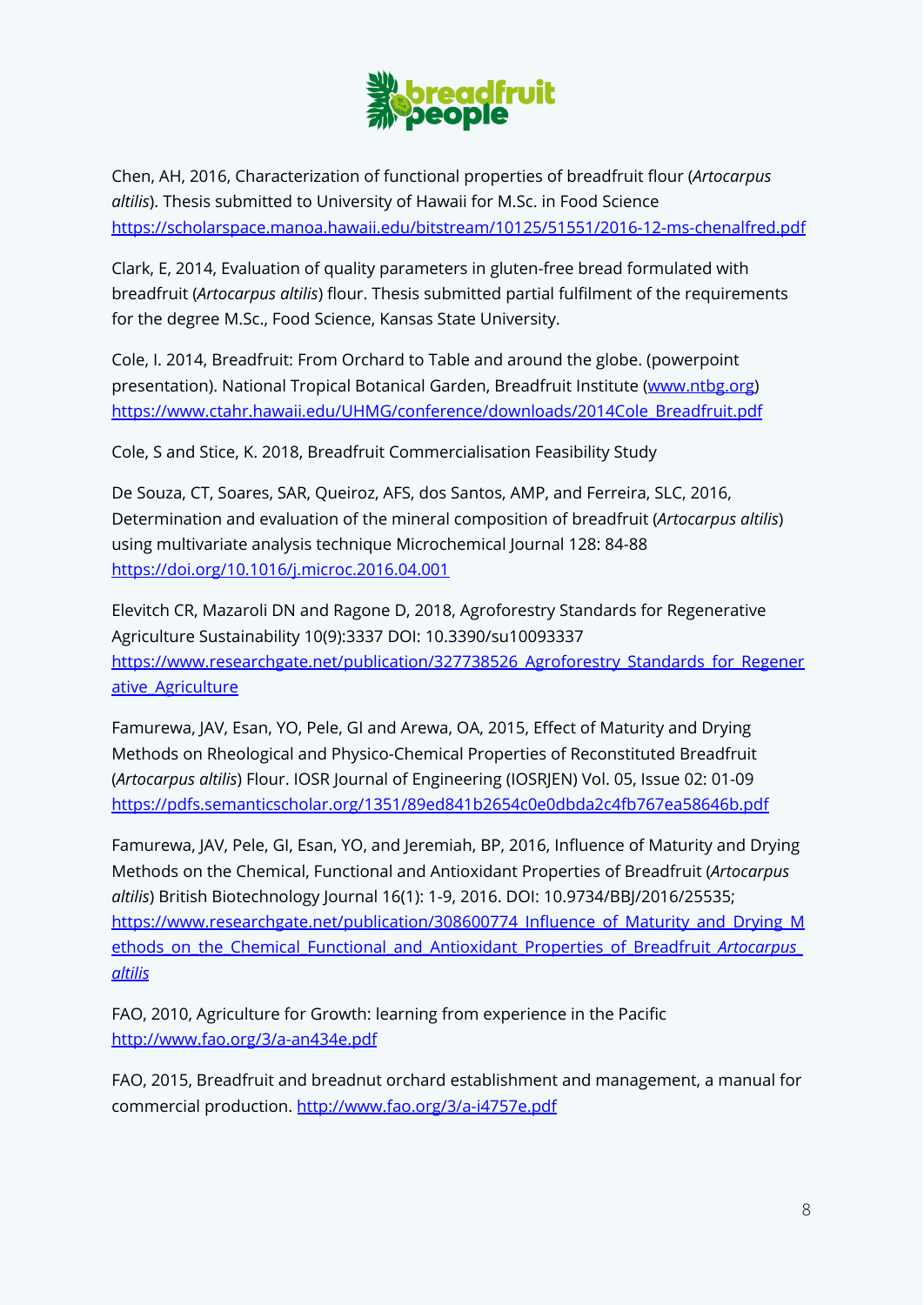

Chen, AH, 2016, Characterization of functional properties of breadfruit flour (*Artocarpus altilis*). Thesis submitted to University of Hawaii for M.Sc. in Food Science <https://scholarspace.manoa.hawaii.edu/bitstream/10125/51551/2016-12-ms-chenalfred.pdf>

Clark, E, 2014, Evaluation of quality parameters in gluten-free bread formulated with breadfruit (*Artocarpus altilis*) flour. Thesis submitted partial fulfilment of the requirements for the degree M.Sc., Food Science, Kansas State University.

Cole, I. 2014, Breadfruit: From Orchard to Table and around the globe. (powerpoint presentation). National Tropical Botanical Garden, Breadfruit Institute ([www.ntbg.org\)](http://www.ntbg.org) [https://www.ctahr.hawaii.edu/UHMG/conference/downloads/2014Cole\\_Breadfruit.pdf](https://www.ctahr.hawaii.edu/UHMG/conference/downloads/2014Cole_Breadfruit.pdf)

Cole, S and Stice, K. 2018, Breadfruit Commercialisation Feasibility Study

De Souza, CT, Soares, SAR, Queiroz, AFS, dos Santos, AMP, and Ferreira, SLC, 2016, Determination and evaluation of the mineral composition of breadfruit (*Artocarpus altilis*) using multivariate analysis technique Microchemical Journal 128: 84-88 <https://doi.org/10.1016/j.microc.2016.04.001>

Elevitch CR, Mazaroli DN and Ragone D, 2018, Agroforestry Standards for Regenerative Agriculture Sustainability 10(9):3337 DOI: 10.3390/su10093337 [https://www.researchgate.net/publication/327738526\\_Agroforestry\\_Standards\\_for\\_Regener](https://www.researchgate.net/publication/327738526_Agroforestry_Standards_for_Regenerative_Agriculture) ative Agriculture

Famurewa, JAV, Esan, YO, Pele, GI and Arewa, OA, 2015, Effect of Maturity and Drying Methods on Rheological and Physico-Chemical Properties of Reconstituted Breadfruit (*Artocarpus altilis*) Flour. IOSR Journal of Engineering (IOSRJEN) Vol. 05, Issue 02: 01-09 <https://pdfs.semanticscholar.org/1351/89ed841b2654c0e0dbda2c4fb767ea58646b.pdf>

Famurewa, JAV, Pele, GI, Esan, YO, and Jeremiah, BP, 2016, Influence of Maturity and Drying Methods on the Chemical, Functional and Antioxidant Properties of Breadfruit (*Artocarpus altilis*) British Biotechnology Journal 16(1): 1-9, 2016. DOI: 10.9734/BBJ/2016/25535; [https://www.researchgate.net/publication/308600774\\_Influence\\_of\\_Maturity\\_and\\_Drying\\_M](https://www.researchgate.net/publication/308600774_Influence_of_Maturity_and_Drying_Methods_on_the_Chemical_Functional_and_Antioxidant_Properties_of_Breadfruit_Artocarpus_altilis) [ethods\\_on\\_the\\_Chemical\\_Functional\\_and\\_Antioxidant\\_Properties\\_of\\_Breadfruit\\_](https://www.researchgate.net/publication/308600774_Influence_of_Maturity_and_Drying_Methods_on_the_Chemical_Functional_and_Antioxidant_Properties_of_Breadfruit_Artocarpus_altilis)*Artocarpus\_ [altilis](https://www.researchgate.net/publication/308600774_Influence_of_Maturity_and_Drying_Methods_on_the_Chemical_Functional_and_Antioxidant_Properties_of_Breadfruit_Artocarpus_altilis)*

FAO, 2010, Agriculture for Growth: learning from experience in the Pacific <http://www.fao.org/3/a-an434e.pdf>

FAO, 2015, Breadfruit and breadnut orchard establishment and management, a manual for commercial production. <http://www.fao.org/3/a-i4757e.pdf>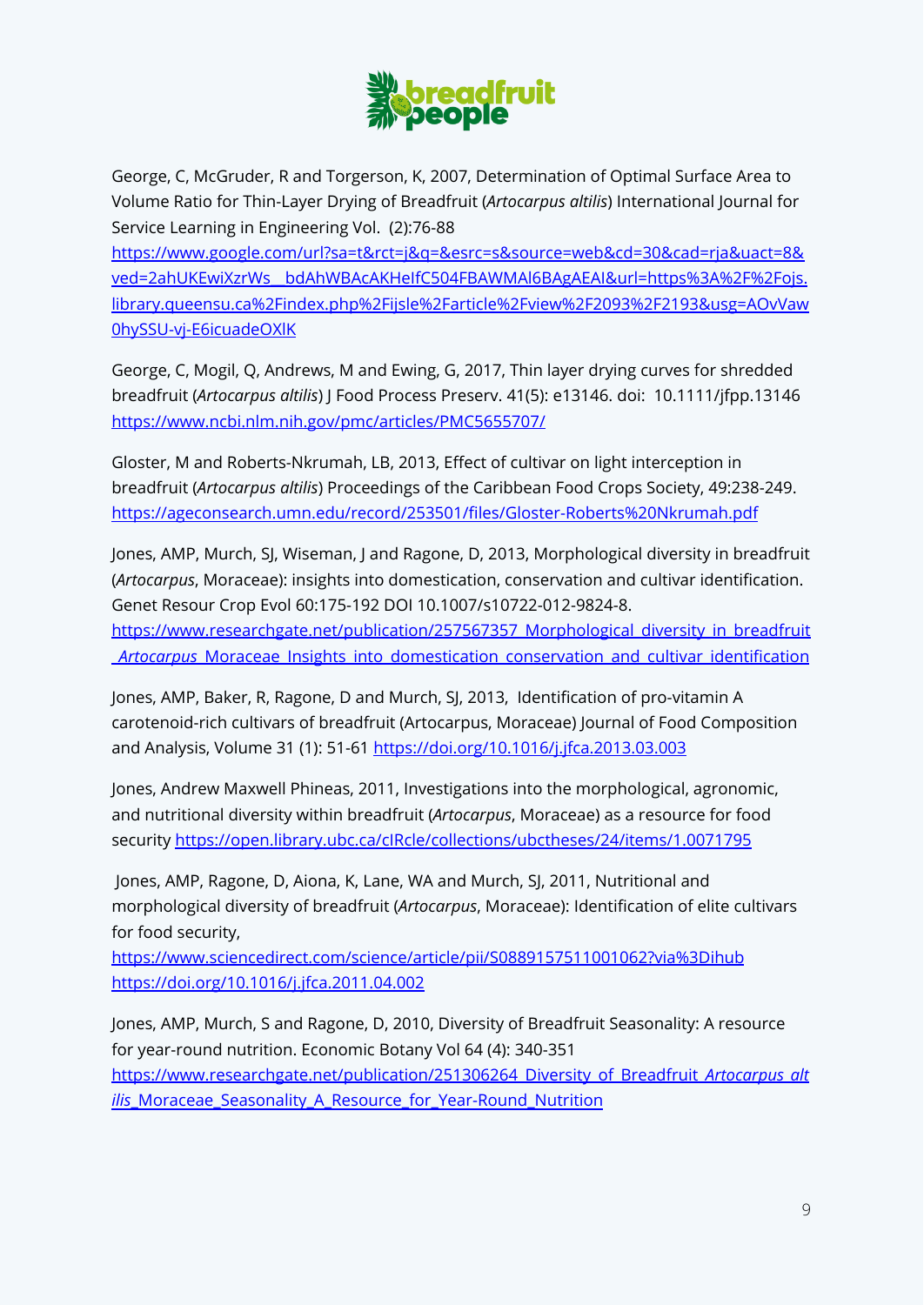

George, C, McGruder, R and Torgerson, K, 2007, Determination of Optimal Surface Area to Volume Ratio for Thin-Layer Drying of Breadfruit (*Artocarpus altilis*) International Journal for Service Learning in Engineering Vol. (2):76-88

[https://www.google.com/url?sa=t&rct=j&q=&esrc=s&source=web&cd=30&cad=rja&uact=8&](https://ojs.library.queensu.ca/index.php/ijsle/article/view/2093/2193) ved=2ahUKEwiXzrWs\_bdAhWBAcAKHeIfC504FBAWMAl6BAgAEAI&url=https%3A%2F%2Fojs. [library.queensu.ca%2Findex.php%2Fijsle%2Farticle%2Fview%2F2093%2F2193&usg=AOvVaw](https://ojs.library.queensu.ca/index.php/ijsle/article/view/2093/2193) [0hySSU-vj-E6icuadeOXlK](https://ojs.library.queensu.ca/index.php/ijsle/article/view/2093/2193)

George, C, Mogil, Q, Andrews, M and Ewing, G, 2017, Thin layer drying curves for shredded breadfruit (*Artocarpus altilis*) J Food Process Preserv. 41(5): e13146. doi: 10.1111/jfpp.13146 <https://www.ncbi.nlm.nih.gov/pmc/articles/PMC5655707/>

Gloster, M and Roberts-Nkrumah, LB, 2013, Effect of cultivar on light interception in breadfruit (*Artocarpus altilis*) Proceedings of the Caribbean Food Crops Society, 49:238-249. <https://ageconsearch.umn.edu/record/253501/files/Gloster-Roberts%20Nkrumah.pdf>

Jones, AMP, Murch, SJ, Wiseman, J and Ragone, D, 2013, Morphological diversity in breadfruit (*Artocarpus*, Moraceae): insights into domestication, conservation and cultivar identification. Genet Resour Crop Evol 60:175-192 DOI 10.1007/s10722-012-9824-8. [https://www.researchgate.net/publication/257567357\\_Morphological\\_diversity\\_in\\_breadfruit](https://www.researchgate.net/publication/257567357_Morphological_diversity_in_breadfruit_Artocarpus_Moraceae_Insights_into_domestication_conservation_and_cultivar_identification) \_*Artocarpus*[\\_Moraceae\\_Insights\\_into\\_domestication\\_conservation\\_and\\_cultivar\\_identification](https://www.researchgate.net/publication/257567357_Morphological_diversity_in_breadfruit_Artocarpus_Moraceae_Insights_into_domestication_conservation_and_cultivar_identification)

Jones, AMP, Baker, R, Ragone, D and Murch, SJ, 2013, Identification of pro-vitamin A carotenoid-rich cultivars of breadfruit (Artocarpus, Moraceae) Journal of Food Composition and Analysis, Volume 31 (1): 51-61 <https://doi.org/10.1016/j.jfca.2013.03.003>

Jones, Andrew Maxwell Phineas, 2011, Investigations into the morphological, agronomic, and nutritional diversity within breadfruit (*Artocarpus*, Moraceae) as a resource for food security <https://open.library.ubc.ca/cIRcle/collections/ubctheses/24/items/1.0071795>

Jones, AMP, Ragone, D, Aiona, K, Lane, WA and Murch, SJ, 2011, Nutritional and morphological diversity of breadfruit (*Artocarpus*, Moraceae): Identification of elite cultivars for food security,

<https://www.sciencedirect.com/science/article/pii/S0889157511001062?via%3Dihub> <https://doi.org/10.1016/j.jfca.2011.04.002>

Jones, AMP, Murch, S and Ragone, D, 2010, Diversity of Breadfruit Seasonality: A resource for year-round nutrition. Economic Botany Vol 64 (4): 340-351 [https://www.researchgate.net/publication/251306264\\_Diversity\\_of\\_Breadfruit\\_](https://www.researchgate.net/publication/251306264_Diversity_of_Breadfruit_Artocarpus_altilis_Moraceae_Seasonality_A_Resource_for_Year-Round_Nutrition)*Artocarpus\_alt ilis* Moraceae Seasonality A Resource for Year-Round Nutrition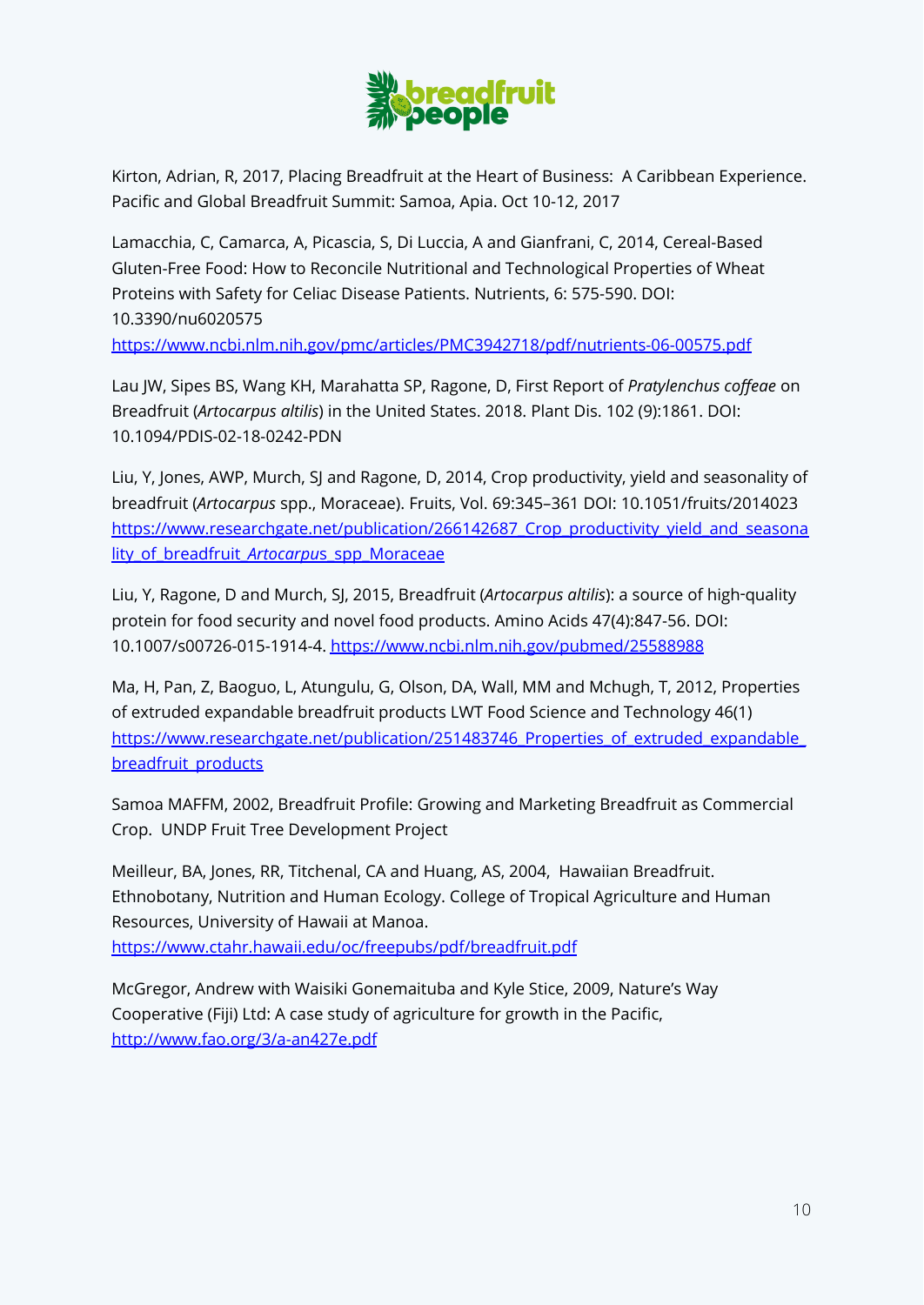

Kirton, Adrian, R, 2017, Placing Breadfruit at the Heart of Business: A Caribbean Experience. Pacific and Global Breadfruit Summit: Samoa, Apia. Oct 10-12, 2017

Lamacchia, C, Camarca, A, Picascia, S, Di Luccia, A and Gianfrani, C, 2014, Cereal-Based Gluten-Free Food: How to Reconcile Nutritional and Technological Properties of Wheat Proteins with Safety for Celiac Disease Patients. Nutrients, 6: 575-590. DOI: 10.3390/nu6020575

<https://www.ncbi.nlm.nih.gov/pmc/articles/PMC3942718/pdf/nutrients-06-00575.pdf>

Lau JW, Sipes BS, Wang KH, Marahatta SP, Ragone, D, First Report of *Pratylenchus coffeae* on Breadfruit (*Artocarpus altilis*) in the United States. 2018. Plant Dis. 102 (9):1861. DOI: 10.1094/PDIS-02-18-0242-PDN

Liu, Y, Jones, AWP, Murch, SJ and Ragone, D, 2014, Crop productivity, yield and seasonality of breadfruit (*Artocarpus* spp., Moraceae). Fruits, Vol. 69:345–361 DOI: 10.1051/fruits/2014023 [https://www.researchgate.net/publication/266142687\\_Crop\\_productivity\\_yield\\_and\\_seasona](https://www.researchgate.net/publication/266142687_Crop_productivity_yield_and_seasonality_of_breadfruit_Artocarpus_spp_Moraceae) lity of breadfruit Artocarpus spp Moraceae

Liu, Y, Ragone, D and Murch, SJ, 2015, Breadfruit (*Artocarpus altilis*): a source of high‑quality protein for food security and novel food products. Amino Acids 47(4):847-56. DOI: 10.1007/s00726-015-1914-4. <https://www.ncbi.nlm.nih.gov/pubmed/25588988>

Ma, H, Pan, Z, Baoguo, L, Atungulu, G, Olson, DA, Wall, MM and Mchugh, T, 2012, Properties of extruded expandable breadfruit products LWT Food Science and Technology 46(1) https://www.researchgate.net/publication/251483746 Properties of extruded expandable [breadfruit\\_products](https://www.researchgate.net/publication/251483746_Properties_of_extruded_expandable_breadfruit_products)

Samoa MAFFM, 2002, Breadfruit Profile: Growing and Marketing Breadfruit as Commercial Crop. UNDP Fruit Tree Development Project

Meilleur, BA, Jones, RR, Titchenal, CA and Huang, AS, 2004, Hawaiian Breadfruit. Ethnobotany, Nutrition and Human Ecology. College of Tropical Agriculture and Human Resources, University of Hawaii at Manoa. <https://www.ctahr.hawaii.edu/oc/freepubs/pdf/breadfruit.pdf>

McGregor, Andrew with Waisiki Gonemaituba and Kyle Stice, 2009, Nature's Way Cooperative (Fiji) Ltd: A case study of agriculture for growth in the Pacific, <http://www.fao.org/3/a-an427e.pdf>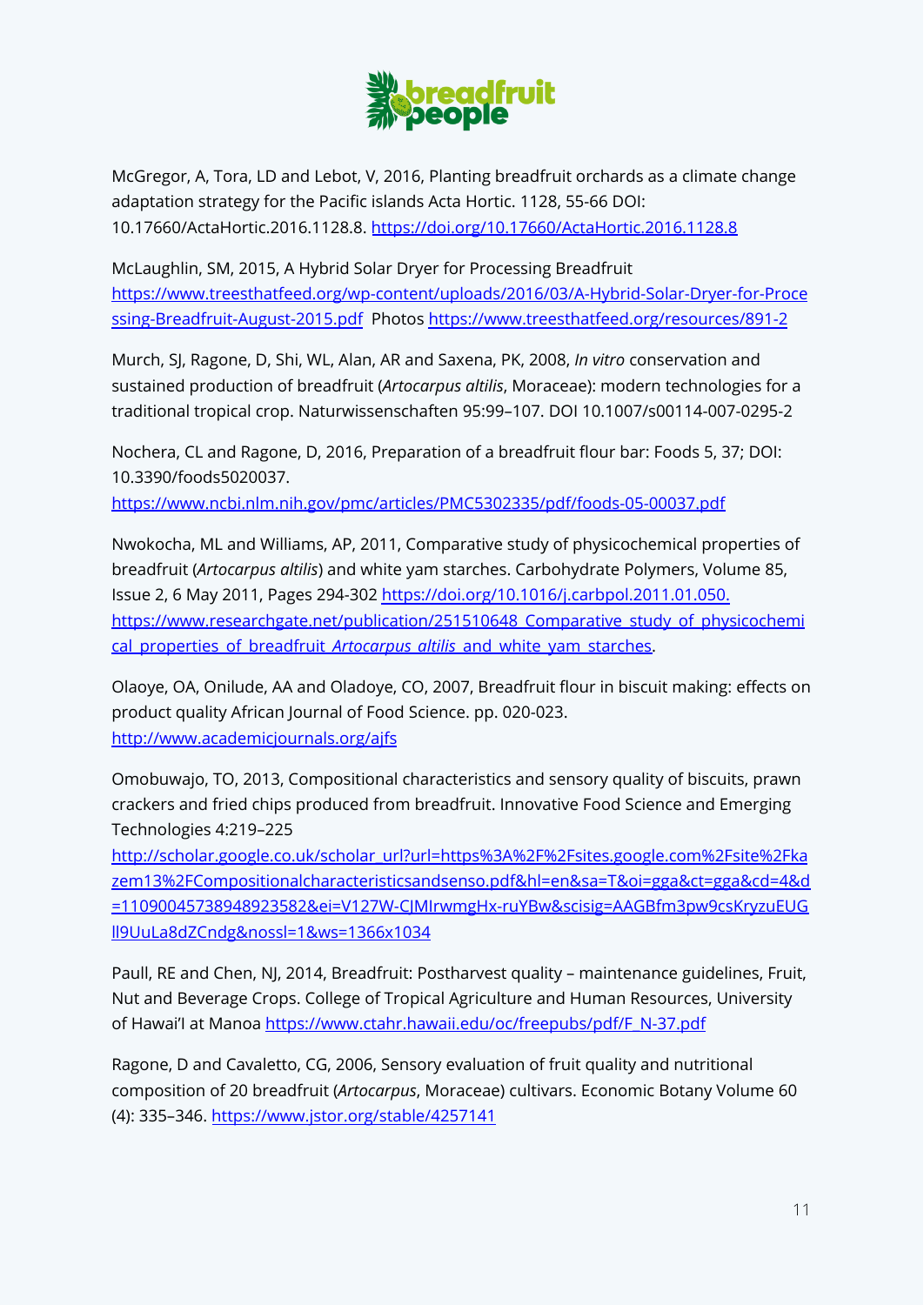

McGregor, A, Tora, LD and Lebot, V, 2016, Planting breadfruit orchards as a climate change adaptation strategy for the Pacific islands Acta Hortic. 1128, 55-66 DOI: 10.17660/ActaHortic.2016.1128.8. <https://doi.org/10.17660/ActaHortic.2016.1128.8>

McLaughlin, SM, 2015, A Hybrid Solar Dryer for Processing Breadfruit [https://www.treesthatfeed.org/wp-content/uploads/2016/03/A-Hybrid-Solar-Dryer-for-Proce](https://www.treesthatfeed.org/wp-content/uploads/2016/03/A-Hybrid-Solar-Dryer-for-Processing-Breadfruit-August-2015.pdf) [ssing-Breadfruit-August-2015.pdf](https://www.treesthatfeed.org/wp-content/uploads/2016/03/A-Hybrid-Solar-Dryer-for-Processing-Breadfruit-August-2015.pdf) Photos <https://www.treesthatfeed.org/resources/891-2>

Murch, SJ, Ragone, D, Shi, WL, Alan, AR and Saxena, PK, 2008, *In vitro* conservation and sustained production of breadfruit (*Artocarpus altilis*, Moraceae): modern technologies for a traditional tropical crop. Naturwissenschaften 95:99–107. DOI 10.1007/s00114-007-0295-2

Nochera, CL and Ragone, D, 2016, Preparation of a breadfruit flour bar: Foods 5, 37; DOI: 10.3390/foods5020037.

<https://www.ncbi.nlm.nih.gov/pmc/articles/PMC5302335/pdf/foods-05-00037.pdf>

Nwokocha, ML and Williams, AP, 2011, Comparative study of physicochemical properties of breadfruit (*Artocarpus altilis*) and white yam starches. Carbohydrate Polymers, Volume 85, Issue 2, 6 May 2011, Pages 294-302 <https://doi.org/10.1016/j.carbpol.2011.01.050>. https://www.researchgate.net/publication/251510648 Comparative study of physicochemi [cal\\_properties\\_of\\_breadfruit\\_](https://www.researchgate.net/publication/251510648_Comparative_study_of_physicochemical_properties_of_breadfruit_Artocarpus_altilis_and_white_yam_starches)Artocarpus\_altilis\_and\_white\_yam\_starches.

Olaoye, OA, Onilude, AA and Oladoye, CO, 2007, Breadfruit flour in biscuit making: effects on product quality African Journal of Food Science. pp. 020-023. <http://www.academicjournals.org/ajfs>

Omobuwajo, TO, 2013, Compositional characteristics and sensory quality of biscuits, prawn crackers and fried chips produced from breadfruit. Innovative Food Science and Emerging Technologies 4:219–225

[http://scholar.google.co.uk/scholar\\_url?url=https%3A%2F%2Fsites.google.com%2Fsite%2Fka](http://scholar.google.co.uk/scholar_url?url=https%3A%2F%2Fsites.google.com%2Fsite%2Fkazem13%2FCompositionalcharacteristicsandsenso.pdf&hl=en&sa=T&oi=gga&ct=gga&cd=4&d=11090045738948923582&ei=V127W-CJMIrwmgHx-ruYBw&scisig=AAGBfm3pw9csKryzuEUGll9UuLa8dZCndg&nossl=1&ws=1366x1034) [zem13%2FCompositionalcharacteristicsandsenso.pdf&hl=en&sa=T&oi=gga&ct=gga&cd=4&d](http://scholar.google.co.uk/scholar_url?url=https%3A%2F%2Fsites.google.com%2Fsite%2Fkazem13%2FCompositionalcharacteristicsandsenso.pdf&hl=en&sa=T&oi=gga&ct=gga&cd=4&d=11090045738948923582&ei=V127W-CJMIrwmgHx-ruYBw&scisig=AAGBfm3pw9csKryzuEUGll9UuLa8dZCndg&nossl=1&ws=1366x1034) [=11090045738948923582&ei=V127W-CJMIrwmgHx-ruYBw&scisig=AAGBfm3pw9csKryzuEUG](http://scholar.google.co.uk/scholar_url?url=https%3A%2F%2Fsites.google.com%2Fsite%2Fkazem13%2FCompositionalcharacteristicsandsenso.pdf&hl=en&sa=T&oi=gga&ct=gga&cd=4&d=11090045738948923582&ei=V127W-CJMIrwmgHx-ruYBw&scisig=AAGBfm3pw9csKryzuEUGll9UuLa8dZCndg&nossl=1&ws=1366x1034) [ll9UuLa8dZCndg&nossl=1&ws=1366x1034](http://scholar.google.co.uk/scholar_url?url=https%3A%2F%2Fsites.google.com%2Fsite%2Fkazem13%2FCompositionalcharacteristicsandsenso.pdf&hl=en&sa=T&oi=gga&ct=gga&cd=4&d=11090045738948923582&ei=V127W-CJMIrwmgHx-ruYBw&scisig=AAGBfm3pw9csKryzuEUGll9UuLa8dZCndg&nossl=1&ws=1366x1034)

Paull, RE and Chen, NJ, 2014, Breadfruit: Postharvest quality – maintenance guidelines, Fruit, Nut and Beverage Crops. College of Tropical Agriculture and Human Resources, University of Hawai'l at Manoa [https://www.ctahr.hawaii.edu/oc/freepubs/pdf/F\\_N-37.pdf](https://www.ctahr.hawaii.edu/oc/freepubs/pdf/F_N-37.pdf)

Ragone, D and Cavaletto, CG, 2006, Sensory evaluation of fruit quality and nutritional composition of 20 breadfruit (*Artocarpus*, Moraceae) cultivars. Economic Botany Volume 60 (4): 335–346. <https://www.jstor.org/stable/4257141>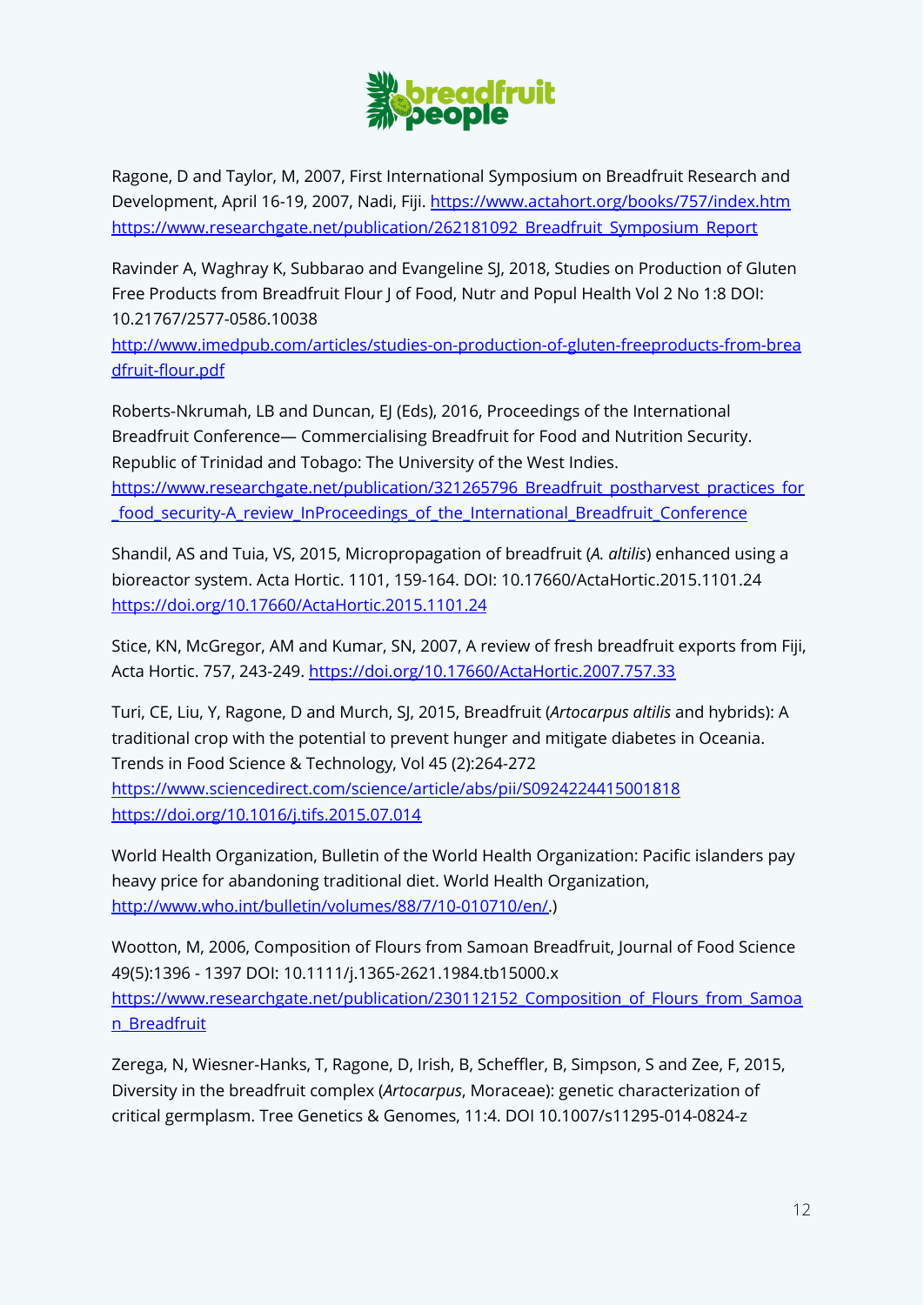

Ragone, D and Taylor, M, 2007, First International Symposium on Breadfruit Research and Development, April 16-19, 2007, Nadi, Fiji. <https://www.actahort.org/books/757/index.htm> [https://www.researchgate.net/publication/262181092\\_Breadfruit\\_Symposium\\_Report](https://www.researchgate.net/publication/262181092_Breadfruit_Symposium_Report)

Ravinder A, Waghray K, Subbarao and Evangeline SJ, 2018, Studies on Production of Gluten Free Products from Breadfruit Flour J of Food, Nutr and Popul Health Vol 2 No 1:8 DOI: 10.21767/2577-0586.10038

[http://www.imedpub.com/articles/studies-on-production-of-gluten-freeproducts-from-brea](http://www.imedpub.com/articles/studies-on-production-of-gluten-freeproducts-from-breadfruit-flour.pdf) [dfruit-flour.pdf](http://www.imedpub.com/articles/studies-on-production-of-gluten-freeproducts-from-breadfruit-flour.pdf)

Roberts-Nkrumah, LB and Duncan, EJ (Eds), 2016, Proceedings of the International Breadfruit Conference— Commercialising Breadfruit for Food and Nutrition Security. Republic of Trinidad and Tobago: The University of the West Indies. [https://www.researchgate.net/publication/321265796\\_Breadfruit\\_postharvest\\_practices\\_for](https://www.researchgate.net/publication/321265796_Breadfruit_postharvest_practices_for_food_security-A_review_InProceedings_of_the_International_Breadfruit_Conference) [\\_food\\_security-A\\_review\\_InProceedings\\_of\\_the\\_International\\_Breadfruit\\_Conference](https://www.researchgate.net/publication/321265796_Breadfruit_postharvest_practices_for_food_security-A_review_InProceedings_of_the_International_Breadfruit_Conference)

Shandil, AS and Tuia, VS, 2015, Micropropagation of breadfruit (*A. altilis*) enhanced using a bioreactor system. Acta Hortic. 1101, 159-164. DOI: 10.17660/ActaHortic.2015.1101.24 <https://doi.org/10.17660/ActaHortic.2015.1101.24>

Stice, KN, McGregor, AM and Kumar, SN, 2007, A review of fresh breadfruit exports from Fiji, Acta Hortic. 757, 243-249. <https://doi.org/10.17660/ActaHortic.2007.757.33>

Turi, CE, Liu, Y, Ragone, D and Murch, SJ, 2015, Breadfruit (*Artocarpus altilis* and hybrids): A traditional crop with the potential to prevent hunger and mitigate diabetes in Oceania. Trends in Food Science & Technology, Vol 45 (2):264-272 <https://www.sciencedirect.com/science/article/abs/pii/S0924224415001818> <https://doi.org/10.1016/j.tifs.2015.07.014>

World Health Organization, Bulletin of the World Health Organization: Pacific islanders pay heavy price for abandoning traditional diet. World Health Organization, [http://www.who.int/bulletin/volumes/88/7/10-010710/en/.](http://www.who.int/bulletin/volumes/88/7/10-010710/en/))

Wootton, M, 2006, Composition of Flours from Samoan Breadfruit, Journal of Food Science 49(5):1396 - 1397 DOI: 10.1111/j.1365-2621.1984.tb15000.x https://www.researchgate.net/publication/230112152 Composition of Flours from Samoa [n\\_Breadfruit](https://www.researchgate.net/publication/230112152_Composition_of_Flours_from_Samoan_Breadfruit)

Zerega, N, Wiesner-Hanks, T, Ragone, D, Irish, B, Scheffler, B, Simpson, S and Zee, F, 2015, Diversity in the breadfruit complex (*Artocarpus*, Moraceae): genetic characterization of critical germplasm. Tree Genetics & Genomes, 11:4. DOI 10.1007/s11295-014-0824-z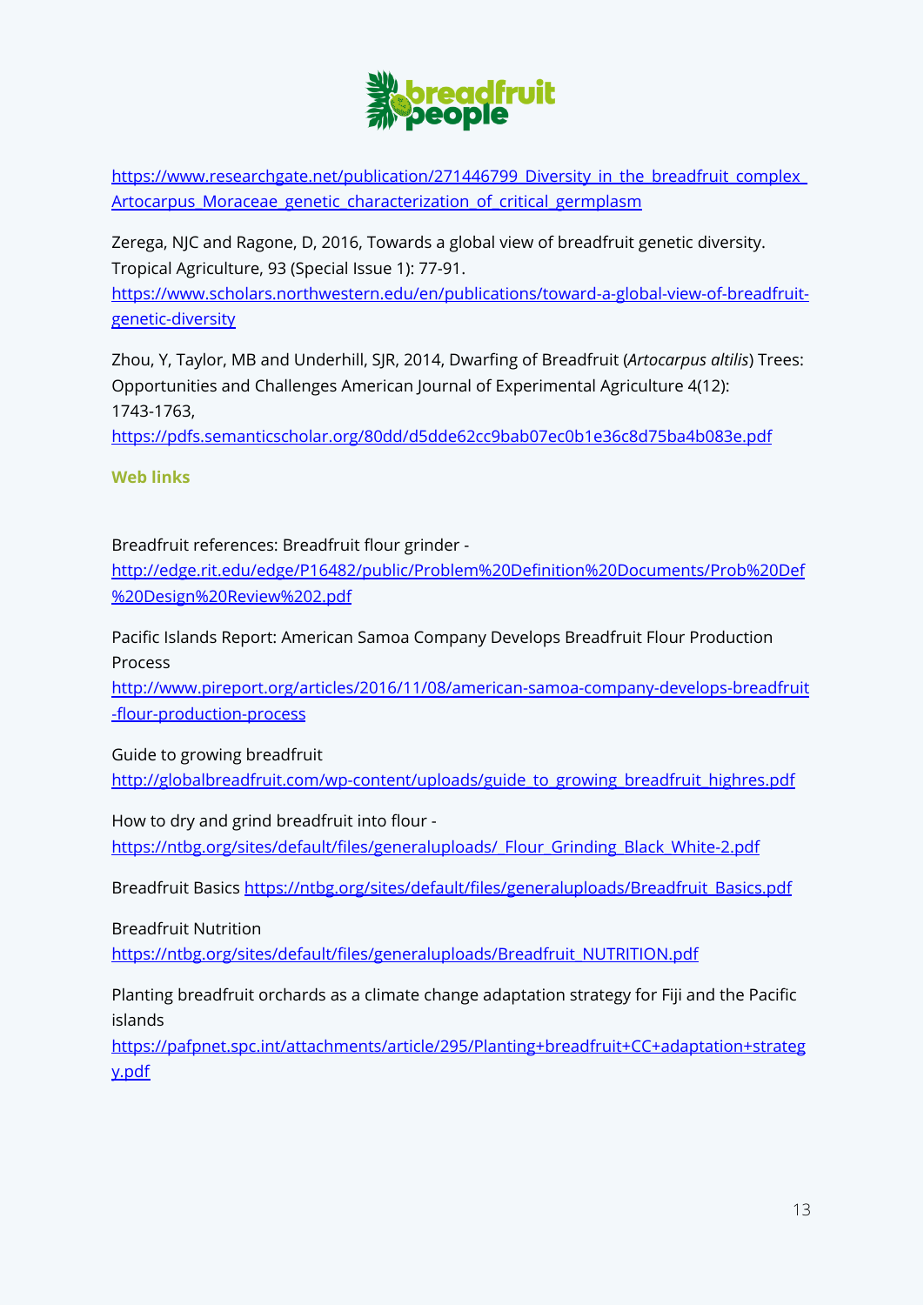

[https://www.researchgate.net/publication/271446799\\_Diversity\\_in\\_the\\_breadfruit\\_complex\\_](https://www.researchgate.net/publication/271446799_Diversity_in_the_breadfruit_complex_Artocarpus_Moraceae_genetic_characterization_of_critical_germplasm) Artocarpus Moraceae genetic characterization of critical germplasm

Zerega, NJC and Ragone, D, 2016, Towards a global view of breadfruit genetic diversity. Tropical Agriculture, 93 (Special Issue 1): 77-91. [https://www.scholars.northwestern.edu/en/publications/toward-a-global-view-of-breadfruit](https://www.scholars.northwestern.edu/en/publications/toward-a-global-view-of-breadfruit-genetic-diversity)[genetic-diversity](https://www.scholars.northwestern.edu/en/publications/toward-a-global-view-of-breadfruit-genetic-diversity)

Zhou, Y, Taylor, MB and Underhill, SJR, 2014, Dwarfing of Breadfruit (*Artocarpus altilis*) Trees: Opportunities and Challenges American Journal of Experimental Agriculture 4(12): 1743-1763,

<https://pdfs.semanticscholar.org/80dd/d5dde62cc9bab07ec0b1e36c8d75ba4b083e.pdf>

**Web links**

Breadfruit references: Breadfruit flour grinder -

[http://edge.rit.edu/edge/P16482/public/Problem%20Definition%20Documents/Prob%20Def](http://edge.rit.edu/edge/P16482/public/Problem%20Definition%20Documents/Prob%20Def%20Design%20Review%202.pdf) [%20Design%20Review%202.pdf](http://edge.rit.edu/edge/P16482/public/Problem%20Definition%20Documents/Prob%20Def%20Design%20Review%202.pdf)

Pacific Islands Report: American Samoa Company Develops Breadfruit Flour Production Process

[http://www.pireport.org/articles/2016/11/08/american-samoa-company-develops-breadfruit](http://www.pireport.org/articles/2016/11/08/american-samoa-company-develops-breadfruit-flour-production-process) [-flour-production-process](http://www.pireport.org/articles/2016/11/08/american-samoa-company-develops-breadfruit-flour-production-process)

Guide to growing breadfruit

[http://globalbreadfruit.com/wp-content/uploads/guide\\_to\\_growing\\_breadfruit\\_highres.pdf](http://globalbreadfruit.com/wp-content/uploads/guide_to_growing_breadfruit_highres.pdf)

How to dry and grind breadfruit into flour -

[https://ntbg.org/sites/default/files/generaluploads/\\_Flour\\_Grinding\\_Black\\_White-2.pdf](https://ntbg.org/sites/default/files/generaluploads/_Flour_Grinding_Black_White-2.pdf)

Breadfruit Basics [https://ntbg.org/sites/default/files/generaluploads/Breadfruit\\_Basics.pdf](https://ntbg.org/sites/default/files/generaluploads/Breadfruit_Basics.pdf)

Breadfruit Nutrition

[https://ntbg.org/sites/default/files/generaluploads/Breadfruit\\_NUTRITION.pdf](https://ntbg.org/sites/default/files/generaluploads/Breadfruit_NUTRITION.pdf)

Planting breadfruit orchards as a climate change adaptation strategy for Fiji and the Pacific islands

[https://pafpnet.spc.int/attachments/article/295/Planting+breadfruit+CC+adaptation+strateg](https://pafpnet.spc.int/attachments/article/295/Planting+breadfruit+CC+adaptation+strategy.pdf) [y.pdf](https://pafpnet.spc.int/attachments/article/295/Planting+breadfruit+CC+adaptation+strategy.pdf)